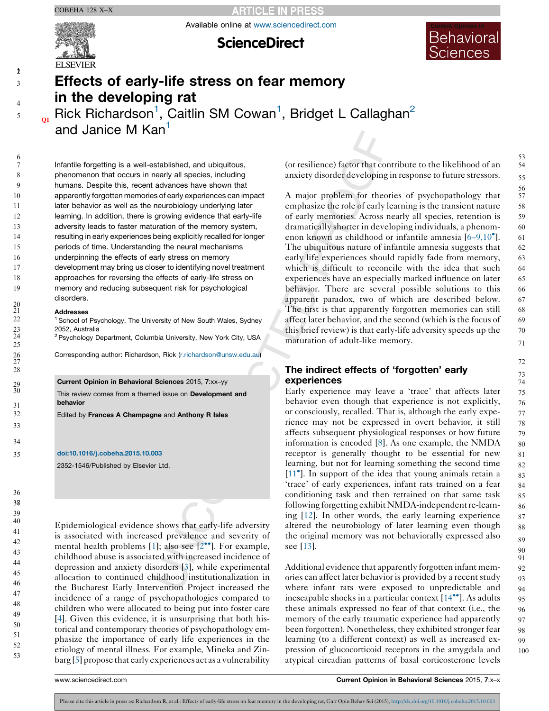**ARTICLE IN PRESS** 

Available online at [www.sciencedirect.com](http://www.sciencedirect.com/science/journal/23521546)



 $\gamma$ 3

4 5

**ScienceDirect** 



# Effects of early-life stress on fear memory in the developing rat

 $_{\alpha}$  Rick Richardson<sup>1</sup>, Caitlin SM Cowan<sup>1</sup>, Bridget L Callaghan<sup>2</sup> and Janice M Kan<sup>1</sup>

Infantile forgetting is a well-established, and ubiquitous, phenomenon that occurs in nearly all species, including humans. Despite this, recent advances have shown that apparently forgotten memories of early experiences can impact later behavior as well as the neurobiology underlying later learning. In addition, there is growing evidence that early-life adversity leads to faster maturation of the memory system, resulting in early experiences being explicitly recalled for longer periods of time. Understanding the neural mechanisms underpinning the effects of early stress on memory development may bring us closer to identifying novel treatment approaches for reversing the effects of early-life stress on memory and reducing subsequent risk for psychological disorders.

## Addresses

<sup>1</sup> School of Psychology, The University of New South Wales, Sydney 2052, Australia

<sup>2</sup> Psychology Department, Columbia University, New York City, USA

Corresponding author: Richardson, Rick [\(r.richardson@unsw.edu.au\)](mailto:r.richardson@unsw.edu.au)

## Current Opinion in Behavioral Sciences 2015, 7:xx–yy

This review comes from a themed issue on **Development and** behavior

Edited by Frances A Champagne and Anthony R Isles

## [doi:10.1016/j.cobeha.2015.10.003](http://dx.doi.org/10.1016/j.cobeha.2015.10.003)

2352-1546/Published by Elsevier Ltd.

Epidemiological evidence shows that early-life adversity is associated with increased prevalence and severity of mental health problems [\[1](#page-3-0)]; also see  $[2^{\bullet\bullet}]$  $[2^{\bullet\bullet}]$  $[2^{\bullet\bullet}]$ . For example, childhood abuse is associated with increased incidence of depression and anxiety disorders [[3\]](#page-4-0), while experimental allocation to continued childhood institutionalization in the Bucharest Early Intervention Project increased the incidence of a range of psychopathologies compared to children who were allocated to being put into foster care [\[4](#page-4-0)]. Given this evidence, it is unsurprising that both historical and contemporary theories of psychopathology emphasize the importance of early life experiences in the etiology of mental illness. For example, Mineka and Zinbarg [[5\]](#page-4-0) propose that early experiences act as a vulnerability

(or resilience) factor that contribute to the likelihood of an anxiety disorder developing in response to future stressors.

A major problem for theories of psychopathology that emphasize the role of early learning is the transient nature of early memories. Across nearly all species, retention is dramatically shorter in developing individuals, a phenom-enon known as childhood or infantile amnesia [6-[9,10](#page-4-0)<sup>°</sup>]. The ubiquitous nature of infantile amnesia suggests that early life experiences should rapidly fade from memory, which is difficult to reconcile with the idea that such experiences have an especially marked influence on later behavior. There are several possible solutions to this apparent paradox, two of which are described below. The first is that apparently forgotten memories can still affect later behavior, and the second (which is the focus of this brief review) is that early-life adversity speeds up the maturation of adult-like memory.

# The indirect effects of 'forgotten' early experiences

Early experience may leave a 'trace' that affects later behavior even though that experience is not explicitly, or consciously, recalled. That is, although the early experience may not be expressed in overt behavior, it still affects subsequent physiological responses or how future information is encoded [[8\]](#page-4-0). As one example, the NMDA receptor is generally thought to be essential for new learning, but not for learning something the second time [\[11](#page-4-0)<sup>°</sup>]. In support of the idea that young animals retain a 'trace' of early experiences, infant rats trained on a fear conditioning task and then retrained on that same task following forgetting exhibit NMDA-independent re-learning [\[12](#page-4-0)]. In other words, the early learning experience altered the neurobiology of later learning even though the original memory was not behaviorally expressed also see [\[13\]](#page-4-0).

Additional evidence that apparently forgotten infant memories can affect later behavior is provided by a recentstudy where infant rats were exposed to unpredictable and inescapable shocks in a particular context [\[14](#page-4-0)\*\*]. As adults these animals expressed no fear of that context (i.e., the memory of the early traumatic experience had apparently been forgotten). Nonetheless, they exhibited stronger fear learning (to a different context) as well as increased expression of glucocorticoid receptors in the amygdala and atypical circadian patterns of basal corticosterone levels 92 93 94 95 96 97 98 99 100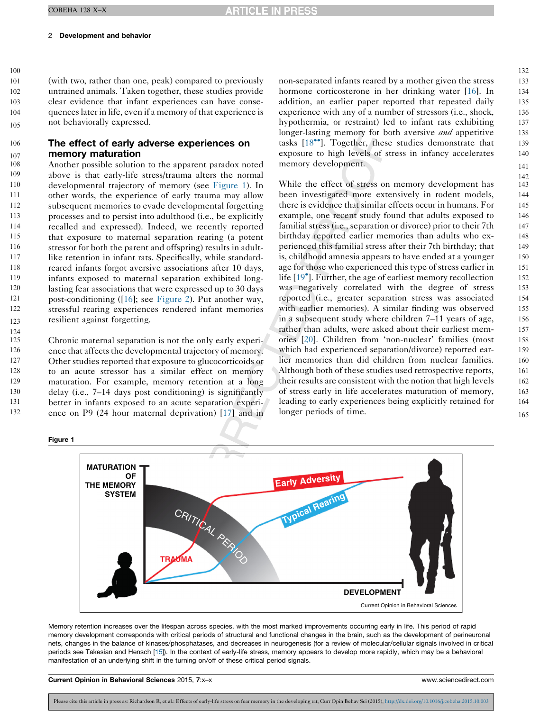<span id="page-1-0"></span>100

124

(with two, rather than one, peak) compared to previously untrained animals. Taken together, these studies provide clear evidence that infant experiences can have consequenceslater in life, even if a memory of that experience is not behaviorally expressed. 101 102 103 104 105

#### The effect of early adverse experiences on memory maturation 106 107

Another possible solution to the apparent paradox noted above is that early-life stress/trauma alters the normal developmental trajectory of memory (see Figure 1). In other words, the experience of early trauma may allow subsequent memories to evade developmental forgetting processes and to persist into adulthood (i.e., be explicitly recalled and expressed). Indeed, we recently reported that exposure to maternal separation rearing (a potent stressor for both the parent and offspring) results in adultlike retention in infant rats. Specifically, while standardreared infants forgot aversive associations after 10 days, infants exposed to maternal separation exhibited longlasting fear associations that were expressed up to 30 days post-conditioning ([\[16](#page-4-0)]; see [Figure](#page-2-0) 2). Put another way, stressful rearing experiences rendered infant memories resilient against forgetting. 108 109 110 111 112 113 114 115 116 117 118 119 120 121 122 123

Chronic maternal separation is not the only early experience that affects the developmental trajectory of memory. Other studies reported that exposure to glucocorticoids or to an acute stressor has a similar effect on memory maturation. For example, memory retention at a long delay (i.e., 7–14 days post conditioning) is significantly better in infants exposed to an acute separation experience on P9 (24 hour maternal deprivation) [[17\]](#page-4-0) and in 125 126 127 128 129 130 131 132

Figure 1

non-separated infants reared by a mother given the stress hormone corticosterone in her drinking water [\[16](#page-4-0)]. In addition, an earlier paper reported that repeated daily experience with any of a number of stressors (i.e., shock, hypothermia, or restraint) led to infant rats exhibiting longer-lasting memory for both aversive *and* appetitive tasks [\[18](#page-4-0)<sup>\*</sup>]. Together, these studies demonstrate that exposure to high levels of stress in infancy accelerates memory development.

While the effect of stress on memory development has been investigated more extensively in rodent models, there is evidence that similar effects occur in humans. For example, one recent study found that adults exposed to familial stress (i.e., separation or divorce) prior to their 7th birthday reported earlier memories than adults who experienced this familial stress after their 7th birthday; that is, childhood amnesia appears to have ended at a younger age for those who experienced this type of stress earlier in life [\[19](#page-4-0)<sup>°</sup>]. Further, the age of earliest memory recollection was negatively correlated with the degree of stress reported (i.e., greater separation stress was associated with earlier memories). A similar finding was observed in a subsequent study where children 7–11 years of age, rather than adults, were asked about their earliest memories [\[20](#page-4-0)]. Children from 'non-nuclear' families (most which had experienced separation/divorce) reported earlier memories than did children from nuclear families. Although both of these studies used retrospective reports, their results are consistent with the notion that high levels of stress early in life accelerates maturation of memory, leading to early experiences being explicitly retained for longer periods of time.



Memory retention increases over the lifespan across species, with the most marked improvements occurring early in life. This period of rapid memory development corresponds with critical periods of structural and functional changes in the brain, such as the development of perineuronal nets, changes in the balance of kinases/phosphatases, and decreases in neurogenesis (for a review of molecular/cellular signals involved in critical periods see Takesian and Hensch [\[15](#page-4-0)]). In the context of early-life stress, memory appears to develop more rapidly, which may be a behavioral manifestation of an underlying shift in the turning on/off of these critical period signals.

Current Opinion in Behavioral Sciences 2015, 7:x–x www.sciencedirect.com

Please cite this article in press as: Richardson R, et al.: Effects of early-life stress on fear memory in the developing rat, Curr Opin Behav Sci (2015), <http://dx.doi.org/10.1016/j.cobeha.2015.10.003>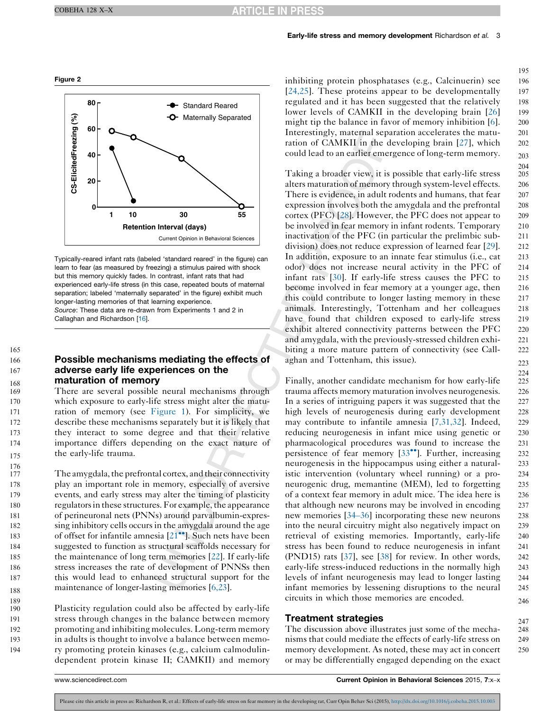# Early-life stress and memory development Richardson et al. 3

<span id="page-2-0"></span>

Typically-reared infant rats (labeled 'standard reared' in the figure) can learn to fear (as measured by freezing) a stimulus paired with shock but this memory quickly fades. In contrast, infant rats that had experienced early-life stress (in this case, repeated bouts of maternal separation; labeled 'maternally separated' in the figure) exhibit much longer-lasting memories of that learning experience. Source: These data are re-drawn from Experiments 1 and 2 in Callaghan and Richardson [\[16\]](#page-4-0).

#### Possible mechanisms mediating the effects of adverse early life experiences on the maturation of memory 166 167 168

165

189

191

There are several possible neural mechanisms through which exposure to early-life stress might alter the maturation of memory (see [Figure](#page-1-0) 1). For simplicity, we describe these mechanisms separately but it is likely that they interact to some degree and that their relative importance differs depending on the exact nature of the early-life trauma.

The amygdala, the prefrontal cortex, and their connectivity play an important role in memory, especially of aversive events, and early stress may alter the timing of plasticity regulators in these structures. For example, the appearance of perineuronal nets (PNNs) around parvalbumin-expressing inhibitory cells occurs in the amygdala around the age of offset for infantile amnesia [\[21](#page-4-0)<sup>••</sup>]. Such nets have been suggested to function as structural scaffolds necessary for the maintenance of long term memories [[22](#page-4-0)]. If early-life stress increases the rate of development of PNNSs then this would lead to enhanced structural support for the maintenance of longer-lasting memories [\[6,23](#page-4-0)]. 177 178 179 180 181 182 183 184 185 186 187 188

Plasticity regulation could also be affected by early-life stress through changes in the balance between memory promoting and inhibiting molecules. Long-term memory in adults is thought to involve a balance between memory promoting protein kinases (e.g., calcium calmodulindependent protein kinase II; CAMKII) and memory 190 192 193 194

inhibiting protein phosphatases (e.g., Calcinuerin) see [[24,25\]](#page-4-0). These proteins appear to be developmentally regulated and it has been suggested that the relatively lower levels of CAMKII in the developing brain [[26](#page-4-0)] might tip the balance in favor of memory inhibition [\[6\]](#page-4-0). Interestingly, maternal separation accelerates the maturation of CAMKII in the developing brain [[27\]](#page-4-0), which could lead to an earlier emergence of long-term memory. 196 197 198 199 200 201 202 203

195

247

Taking a broader view, it is possible that early-life stress alters maturation of memory through system-level effects. There is evidence, in adult rodents and humans, that fear expression involves both the amygdala and the prefrontal cortex (PFC) [\[28](#page-4-0)]. However, the PFC does not appear to be involved in fear memory in infant rodents. Temporary inactivation of the PFC (in particular the prelimbic subdivision) does not reduce expression of learned fear [[29\]](#page-4-0). In addition, exposure to an innate fear stimulus (i.e., cat odor) does not increase neural activity in the PFC of infant rats [\[30](#page-4-0)]. If early-life stress causes the PFC to become involved in fear memory at a younger age, then this could contribute to longer lasting memory in these animals. Interestingly, Tottenham and her colleagues have found that children exposed to early-life stress exhibit altered connectivity patterns between the PFC and amygdala, with the previously-stressed children exhibiting a more mature pattern of connectivity (see Callaghan and Tottenham, this issue).

Finally, another candidate mechanism for how early-life trauma affects memory maturation involves neurogenesis. In a series of intriguing papers it was suggested that the high levels of neurogenesis during early development may contribute to infantile amnesia [\[7,31,32\]](#page-4-0). Indeed, reducing neurogenesis in infant mice using genetic or pharmacological procedures was found to increase the persistence of fear memory [[33](#page-4-0)<sup>••</sup>]. Further, increasing neurogenesis in the hippocampus using either a naturalistic intervention (voluntary wheel running) or a proneurogenic drug, memantine (MEM), led to forgetting of a context fear memory in adult mice. The idea here is that although new neurons may be involved in encoding new memories [\[34](#page-4-0)–36] incorporating these new neurons into the neural circuitry might also negatively impact on retrieval of existing memories. Importantly, early-life stress has been found to reduce neurogenesis in infant (PND15) rats [[37\]](#page-4-0), see [\[38](#page-4-0)] for review. In other words, early-life stress-induced reductions in the normally high levels of infant neurogenesis may lead to longer lasting infant memories by lessening disruptions to the neural circuits in which those memories are encoded.

# Treatment strategies

The discussion above illustrates just some of the mechanisms that could mediate the effects of early-life stress on memory development. As noted, these may act in concert or may be differentially engaged depending on the exact 248 249 250

www.sciencedirect.com **Current Opinion in Behavioral Sciences** 2015, 7:x–x

Please cite this article in press as: Richardson R, et al.: Effects of early-life stress on fear memory in the developing rat, Curr Opin Behav Sci (2015), <http://dx.doi.org/10.1016/j.cobeha.2015.10.003>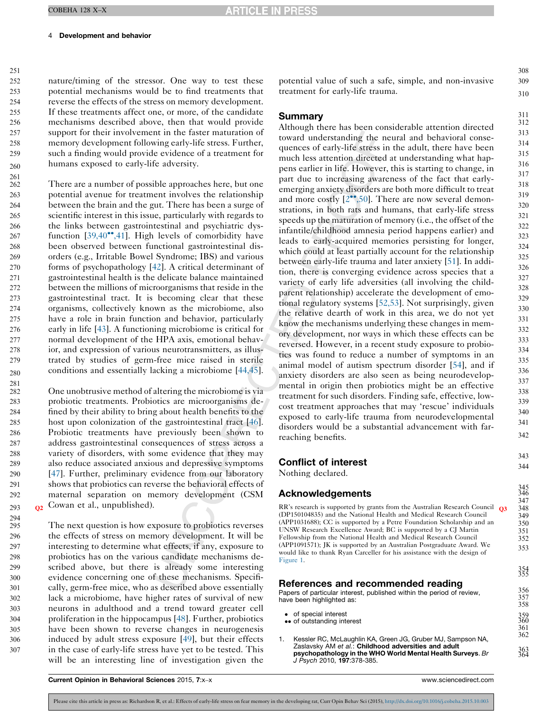# <span id="page-3-0"></span>Development and behavior

nature/timing of the stressor. One way to test these potential mechanisms would be to find treatments that reverse the effects of the stress on memory development. If these treatments affect one, or more, of the candidate mechanisms described above, then that would provide support for their involvement in the faster maturation of memory development following early-life stress. Further, such a finding would provide evidence of a treatment for humans exposed to early-life adversity.

There are a number of possible approaches here, but one potential avenue for treatment involves the relationship between the brain and the gut. There has been a surge of scientific interest in this issue, particularly with regards to the links between gastrointestinal and psychiatric dysfunction  $[39,40^{\bullet\bullet},41]$  $[39,40^{\bullet\bullet},41]$  $[39,40^{\bullet\bullet},41]$ . High levels of comorbidity have been observed between functional gastrointestinal disorders (e.g., Irritable Bowel Syndrome; IBS) and various forms of psychopathology [[42\]](#page-5-0). A critical determinant of gastrointestinal health is the delicate balance maintained between the millions of microorganisms that reside in the gastrointestinal tract. It is becoming clear that these organisms, collectively known as the microbiome, also have a role in brain function and behavior, particularly early in life [[43](#page-5-0)]. A functioning microbiome is critical for normal development of the HPA axis, emotional behavior, and expression of various neurotransmitters, as illustrated by studies of germ-free mice raised in sterile conditions and essentially lacking a microbiome [[44,45](#page-5-0)]. 270 271 272 273 274 275 276 277 278 279 280

One unobtrusive method of altering the microbiome is via probiotic treatments. Probiotics are microorganisms defined by their ability to bring about health benefits to the host upon colonization of the gastrointestinal tract [\[46](#page-5-0)]. Probiotic treatments have previously been shown to address gastrointestinal consequences of stress across a variety of disorders, with some evidence that they may also reduce associated anxious and depressive symptoms [\[47](#page-5-0)]. Further, preliminary evidence from our laboratory shows that probiotics can reverse the behavioral effects of maternal separation on memory development (CSM  $\Omega$  Cowan et al., unpublished).

The next question is how exposure to probiotics reverses the effects of stress on memory development. It will be interesting to determine what effects, if any, exposure to probiotics has on the various candidate mechanisms described above, but there is already some interesting evidence concerning one of these mechanisms. Specifically, germ-free mice, who as described above essentially lack a microbiome, have higher rates of survival of new neurons in adulthood and a trend toward greater cell proliferation in the hippocampus [\[48](#page-5-0)]. Further, probiotics have been shown to reverse changes in neurogenesis induced by adult stress exposure [\[49](#page-5-0)], but their effects in the case of early-life stress have yet to be tested. This will be an interesting line of investigation given the 295 296 297 298 299 300 301 302 303 304 305 306 307

potential value of such a safe, simple, and non-invasive treatment for early-life trauma.

308 309 310

343 344

363 364

# Summary

Although there has been considerable attention directed toward understanding the neural and behavioral consequences of early-life stress in the adult, there have been much less attention directed at understanding what happens earlier in life. However, this is starting to change, in part due to increasing awareness of the fact that earlyemerging anxiety disorders are both more difficult to treat and more costly  $[2^{\bullet\bullet}, 50]$  $[2^{\bullet\bullet}, 50]$  $[2^{\bullet\bullet}, 50]$ . There are now several demonstrations, in both rats and humans, that early-life stress speeds up the maturation of memory (i.e., the offset of the infantile/childhood amnesia period happens earlier) and leads to early-acquired memories persisting for longer, which could at least partially account for the relationship between early-life trauma and later anxiety [\[51](#page-5-0)]. In addition, there is converging evidence across species that a variety of early life adversities (all involving the childparent relationship) accelerate the development of emotional regulatory systems [[52,53](#page-5-0)]. Not surprisingly, given the relative dearth of work in this area, we do not yet know the mechanisms underlying these changes in memory development, nor ways in which these effects can be reversed. However, in a recent study exposure to probiotics was found to reduce a number of symptoms in an animal model of autism spectrum disorder [\[54](#page-5-0)], and if anxiety disorders are also seen as being neurodevelopmental in origin then probiotics might be an effective treatment for such disorders. Finding safe, effective, lowcost treatment approaches that may 'rescue' individuals exposed to early-life trauma from neurodevelopmental disorders would be a substantial advancement with farreaching benefits.

# Conflict of interest

Nothing declared.

# Acknowledgements

RR's research is supported by grants from the Australian Research Council Q3 (DP150104835) and the National Health and Medical Research Council (APP1031688); CC is supported by a Petre Foundation Scholarship and an UNSW Research Excellence Award; BC is supported by a CJ Martin Fellowship from the National Health and Medical Research Council (APP1091571); JK is supported by an Australian Postgraduate Award. We would like to thank Ryan Carceller for his assistance with the design of [Figure](#page-1-0) 1.

## References and recommended reading

Papers of particular interest, published within the period of review, have been highlighted as:

- of special interest
- •• of outstanding interest
- 1. Kessler RC, McLaughlin KA, Green JG, Gruber MJ, Sampson NA, Zaslavsky AM et al.: Childhood adversities and adult psychopathology in the WHO World Mental Health Surveys. Br J Psych 2010, 197:378-385.

Current Opinion in Behavioral Sciences 2015, 7:x–x www.sciencedirect.com

Please cite this article in press as: Richardson R, et al.: Effects of early-life stress on fear memory in the developing rat, Curr Opin Behav Sci (2015), <http://dx.doi.org/10.1016/j.cobeha.2015.10.003>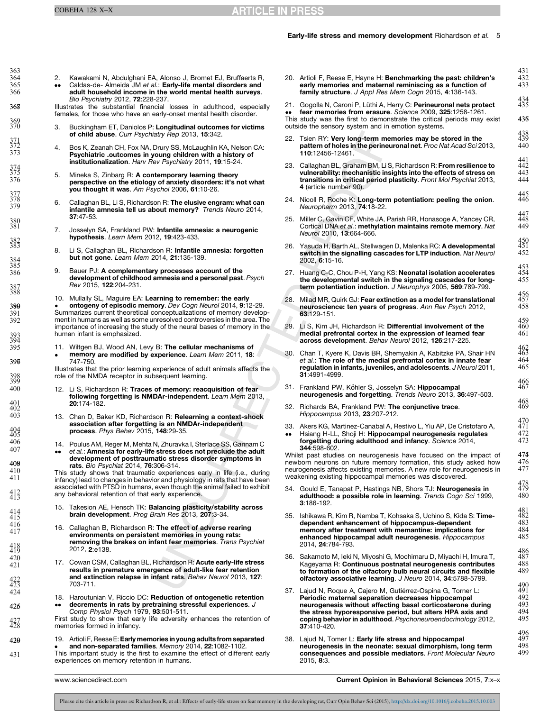## Early-life stress and memory development Richardson et al. 5

 $420$ 421

420 431

<span id="page-4-0"></span>363 364 365

2.  $\bullet$  $\bullet$ Kawakami N, Abdulghani EA, Alonso J, Bromet EJ, Bruffaerts R, Caldas-de- Almeida JM et al.: Early-life mental disorders and adult household income in the world mental health surveys. Bio Psychiatry 2012, 72:228-237.

Illustrates the substantial financial losses in adulthood, especially females, for those who have an early-onset mental health disorder.

- 3. Buckingham ET, Daniolos P: Longitudinal outcomes for victims of child abuse. Curr Psychiatry Rep 2013, 15:342.
- 4. Bos K, Zeanah CH, Fox NA, Drury SS, McLaughlin KA, Nelson CA: Psychiatric .outcomes in young children with a history of institutionalization. Harv Rev Psychiatry 2011, 19:15-24.
- Mineka S, Zinbarg R: A contemporary learning theory perspective on the etiology of anxiety disorders: it's not what you thought it was. Am Psychol 2006, 61:10-26.
- 6. Callaghan BL, Li S, Richardson R: The elusive engram: what can infantile amnesia tell us about memory? Trends Neuro 2014, 37:47-53.
- 7. Josselyn SA, Frankland PW: Infantile amnesia: a neurogenic hypothesis. Learn Mem 2012, 19:423-433.
- 8. Li S, Callaghan BL, Richardson R: Infantile amnesia: forgotten but not gone. Learn Mem 2014, 21:135-139.
- 9. Bauer PJ: A complementary processes account of the development of childhood amnesia and a personal past. Psych Rev 2015, 122:204-231.
- 10. Mullally SL, Maguire EA: Learning to remember: the early **• ontogeny of episodic memory**. Dev Cogn Neurol 2014, **9**:12-29.<br>Summarizes current theoretical conceptualizations of memory developontogeny of episodic memory. Dev Cogn Neurol 2014, 9:12-29. ment in humans as well as some unresolved controversies in the area. The importance of increasing the study of the neural bases of memory in the human infant is emphasized.
- 11.  $\bullet$ Wiltgen BJ, Wood AN, Levy B: The cellular mechanisms of memory are modified by experience. Learn Mem 2011, 18: 747-750.

Illustrates that the prior learning experience of adult animals affects the role of the NMDA receptor in subsequent learning.

- 12. Li S. Richardson R: Traces of memory: reacquisition of fear following forgetting is NMDAr-independent. Learn Mem 2013, 20:174-182.
- 13. Chan D, Baker KD, Richardson R: Relearning a context-shock association after forgetting is an NMDAr-independent process. Phys Behav 2015, 148:29-35.
- 14. Poulus AM, Reger M, Mehta N, Zhuravka I, Sterlace SS, Gannam C
- $\bullet$ et al.: Amnesia for early-life stress does not preclude the adult development of posttraumatic stress disorder symptoms in rats. Bio Psychiat 2014, 76:306-314.

This study shows that traumatic experiences early in life (i.e., during infancy) lead to changes in behavior and physiology in rats that have been associated with PTSD in humans, even though the animal failed to exhibit any behavioral retention of that early experience.

- 15. Takesion AE, Hensch TK: Balancing plasticity/stability across<br>brain development. Prog Brain Res 2013, 207:3-34.
- 16. Callaghan B, Richardson R: The effect of adverse rearing environments on persistent memories in young rats: removing the brakes on infant fear memories. Trans Psychiat 2012, 2:e138.
- 17. Cowan CSM, Callaghan BL, Richardson R: Acute early-life stress results in premature emergence of adult-like fear retention and extinction relapse in infant rats. Behav Neurol 2013, 127: 703-711.
- 18. Haroutunian V, Riccio DC: Reduction of ontogenetic retention  $\bullet$ decrements in rats by pretraining stressful experiences. J<br>Comp Physiol Psych 1979, **93**:501-511.
- First study to show that early life adversity enhances the retention of memories formed in infancy. 427 428
	- 19. **• and non-separated families**. *Memory* 2014, **22**:1082-1102.<br>This important study is the first to examine the effect of different early Artioli F, Reese E: Early memories in young adults from separated and non-separated families. Memory 2014, 22:1082-1102. experiences on memory retention in humans.

20. Artioli F, Reese E, Hayne H: Benchmarking the past: children's early memories and maternal reminiscing as a function of family structure. J Appl Res Mem Cogn 2015, 4:136-143.

431 432 433

434 435 4367

438 439 440

445 446

468 469

478 479 480

21. • fear memories from erasure. Science 2009, 325:1258-1261.<br>This study was the first to demonstrate the critical periods may exist Gogolla N, Caroni P, Lüthi A, Herry C: **Perineuronal nets protect**<br>fear memories from erasure. Science 2009, 3**25**:1258-1261.

outside the sensory system and in emotion systems.

- 22. Tsien RY: Very long-term memories may be stored in the pattern of holes in the perineuronal net. Proc Nat Acad Sci 2013, 110:12456-12461.
- 23. Callaghan BL, Graham BM, Li S, Richardson R: From resilience to vulnerability: mechanistic insights into the effects of stress on transitions in critical period plasticity. Front Mol Psychiat 2013, 4 (article number 90).
- 24. Nicoll R, Roche K: Long-term potentiation: peeling the onion.<br>Neuropharm 2013, 74:18-22.
- 25. Miller C, Gavin CF, White JA, Parish RR, Honasoge A, Yancey CR, Cortical DNA et al.: methylation maintains remote memory. Nat Neurol 2010, 13:664-666.
- 26. Yasuda H, Barth AL, Stellwagen D, Malenka RC: A developmental switch in the signalling cascades for LTP induction. Nat Neurol 2002, 6:15-16.
- 27. Huang C-C, Chou P-H, Yang KS: Neonatal isolation accelerates the developmental switch in the signaling cascades for long-<br>term potentiation induction. J Neurophys 2005, 569:789-799.
- 28. Milad MR, Quirk GJ: Fear extinction as a model for translational neuroscience: ten years of progress. Ann Rev Psych 2012, 63:129-151.
- 29. Li S, Kim JH, Richardson R: Differential involvement of the medial prefrontal cortex in the expression of learned fear across development. Behav Neurol 2012, 126:217-225.
- 30. Chan T, Kyere K, Davis BR, Shemyakin A, Kabitzke PA, Shair HN et al.: The role of the medial prefrontal cortex in innate fear regulation in infants, juveniles, and adolescents. J Neurol 2011, 31:4991-4999.
- 31. Frankland PW, Köhler S, Josselyn SA: Hippocampal neurogenesis and forgetting. Trends Neuro 2013, 36:497-503.
- 32. Richards BA, Frankland PW: The conjunctive trace. Hippocampus 2013, 23:207-212.
- 33. --Akers KG, Martinez-Canabal A, Restivo L, Yiu AP, De Cristofaro A, Hsiang H-LL, Shoji H: Hippocampal neurogenesis regulates

forgetting during adulthood and infancy. Science 2014, 344:598-602. Whilst past studies on neurogenesis have focused on the impact of newborn neurons on future memory formation, this study asked how

neurogenesis affects existing memories. A new role for neurogenesis in weakening existing hippocampal memories was discovered.

- 34. Gould E, Tanapat P, Hastings NB, Shors TJ: Neurogenesis in adulthood: a possible role in learning. Trends Cogn Sci 1999, 3:186-192.
- 35. Ishikawa R, Kim R, Namba T, Kohsaka S, Uchino S, Kida S: Timedependent enhancement of hippocampus-dependent memory after treatment with memantine: implications for enhanced hippocampal adult neurogenesis. Hippocampus 2014, 24:784-793.
- Sakamoto M, Ieki N, Miyoshi G, Mochimaru D, Miyachi H, Imura T, Kageyama R: Continuous postnatal neurogenesis contributes to formation of the olfactory bulb neural circuits and flexible olfactory associative learning. J Neuro 2014, 34:5788-5799.
- 37. Lajud N, Roque A, Cajero M, Gutiérrez-Ospina G, Torner L:<br>**Periodic maternal separation decreases hippocampal** neurogenesis without affecting basal corticosterone during the stress hyporesponsive period, but alters HPA axis and coping behavior in adulthood. Psychoneuroendocrinology 2012, 37:410-420.
- 38. Lajud N, Tomer L: Early life stress and hippocampal neurogenesis in the neonate: sexual dimorphism, long term consequences and possible mediators. Front Molecular Neuro 2015, 8:3.

www.sciencedirect.com **Current Opinion in Behavioral Sciences** 2015, 7:x–x